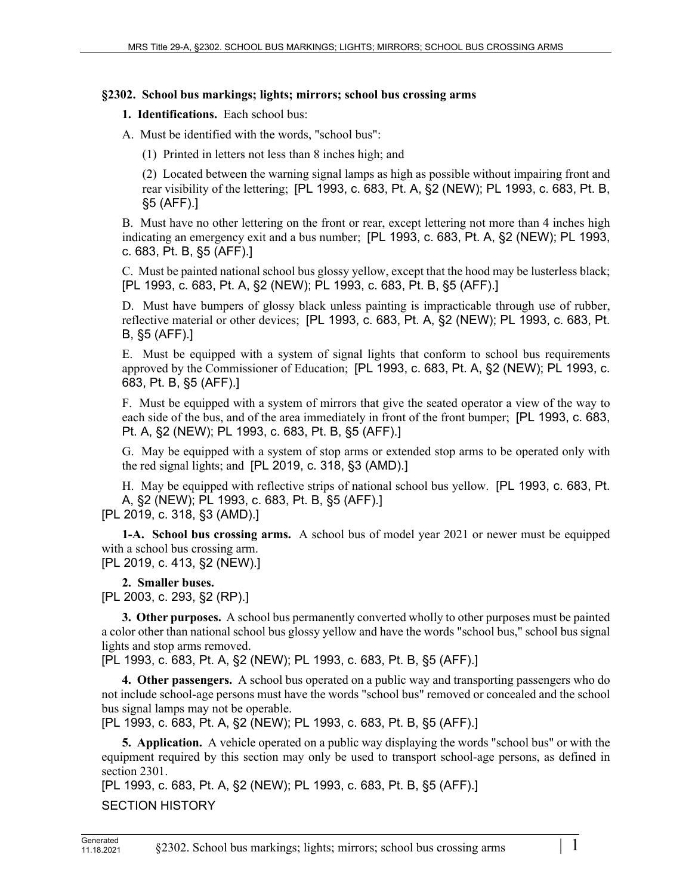## **§2302. School bus markings; lights; mirrors; school bus crossing arms**

**1. Identifications.** Each school bus:

A. Must be identified with the words, "school bus":

(1) Printed in letters not less than 8 inches high; and

(2) Located between the warning signal lamps as high as possible without impairing front and rear visibility of the lettering; [PL 1993, c. 683, Pt. A, §2 (NEW); PL 1993, c. 683, Pt. B, §5 (AFF).]

B. Must have no other lettering on the front or rear, except lettering not more than 4 inches high indicating an emergency exit and a bus number; [PL 1993, c. 683, Pt. A, §2 (NEW); PL 1993, c. 683, Pt. B, §5 (AFF).]

C. Must be painted national school bus glossy yellow, except that the hood may be lusterless black; [PL 1993, c. 683, Pt. A, §2 (NEW); PL 1993, c. 683, Pt. B, §5 (AFF).]

D. Must have bumpers of glossy black unless painting is impracticable through use of rubber, reflective material or other devices; [PL 1993, c. 683, Pt. A, §2 (NEW); PL 1993, c. 683, Pt. B, §5 (AFF).]

E. Must be equipped with a system of signal lights that conform to school bus requirements approved by the Commissioner of Education; [PL 1993, c. 683, Pt. A, §2 (NEW); PL 1993, c. 683, Pt. B, §5 (AFF).]

F. Must be equipped with a system of mirrors that give the seated operator a view of the way to each side of the bus, and of the area immediately in front of the front bumper; [PL 1993, c. 683, Pt. A, §2 (NEW); PL 1993, c. 683, Pt. B, §5 (AFF).]

G. May be equipped with a system of stop arms or extended stop arms to be operated only with the red signal lights; and [PL 2019, c. 318, §3 (AMD).]

H. May be equipped with reflective strips of national school bus yellow. [PL 1993, c. 683, Pt. A, §2 (NEW); PL 1993, c. 683, Pt. B, §5 (AFF).] [PL 2019, c. 318, §3 (AMD).]

**1-A. School bus crossing arms.** A school bus of model year 2021 or newer must be equipped with a school bus crossing arm. [PL 2019, c. 413, §2 (NEW).]

**2. Smaller buses.** 

[PL 2003, c. 293, §2 (RP).]

**3. Other purposes.** A school bus permanently converted wholly to other purposes must be painted a color other than national school bus glossy yellow and have the words "school bus," school bus signal lights and stop arms removed.

[PL 1993, c. 683, Pt. A, §2 (NEW); PL 1993, c. 683, Pt. B, §5 (AFF).]

**4. Other passengers.** A school bus operated on a public way and transporting passengers who do not include school-age persons must have the words "school bus" removed or concealed and the school bus signal lamps may not be operable.

[PL 1993, c. 683, Pt. A, §2 (NEW); PL 1993, c. 683, Pt. B, §5 (AFF).]

**5. Application.** A vehicle operated on a public way displaying the words "school bus" or with the equipment required by this section may only be used to transport school-age persons, as defined in section 2301.

[PL 1993, c. 683, Pt. A, §2 (NEW); PL 1993, c. 683, Pt. B, §5 (AFF).] SECTION HISTORY